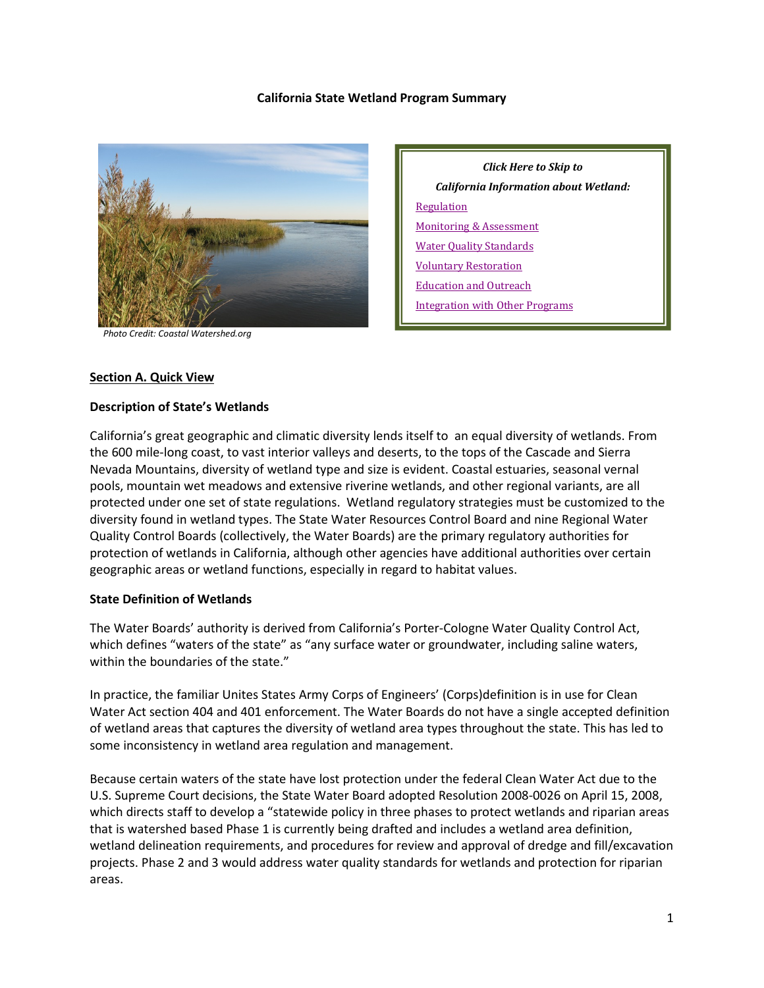#### **California State Wetland Program Summary**



 *Photo Credit: Coastal Watershed.org*

*Click Here to Skip to California Information about Wetland:* **[Regulation](#page-4-0)** [Monitoring & Assessment](#page-8-0) [Water Quality Standards](#page-12-0) [Voluntary Restoration](#page-12-1) [Education and Outreach](#page-15-0) [Integration with Other Programs](#page-16-0)

#### **Section A. Quick View**

#### **Description of State's Wetlands**

California's great geographic and climatic diversity lends itself to an equal diversity of wetlands. From the 600 mile-long coast, to vast interior valleys and deserts, to the tops of the Cascade and Sierra Nevada Mountains, diversity of wetland type and size is evident. Coastal estuaries, seasonal vernal pools, mountain wet meadows and extensive riverine wetlands, and other regional variants, are all protected under one set of state regulations. Wetland regulatory strategies must be customized to the diversity found in wetland types. The State Water Resources Control Board and nine Regional Water Quality Control Boards (collectively, the Water Boards) are the primary regulatory authorities for protection of wetlands in California, although other agencies have additional authorities over certain geographic areas or wetland functions, especially in regard to habitat values.

#### **State Definition of Wetlands**

The Water Boards' authority is derived from California's Porter-Cologne Water Quality Control Act, which defines "waters of the state" as "any surface water or groundwater, including saline waters, within the boundaries of the state."

In practice, the familiar Unites States Army Corps of Engineers' (Corps)definition is in use for Clean Water Act section 404 and 401 enforcement. The Water Boards do not have a single accepted definition of wetland areas that captures the diversity of wetland area types throughout the state. This has led to some inconsistency in wetland area regulation and management.

Because certain waters of the state have lost protection under the federal Clean Water Act due to the U.S. Supreme Court decisions, the State Water Board adopted Resolution 2008-0026 on April 15, 2008, which directs staff to develop a "statewide policy in three phases to protect wetlands and riparian areas that is watershed based Phase 1 is currently being drafted and includes a wetland area definition, wetland delineation requirements, and procedures for review and approval of dredge and fill/excavation projects. Phase 2 and 3 would address water quality standards for wetlands and protection for riparian areas.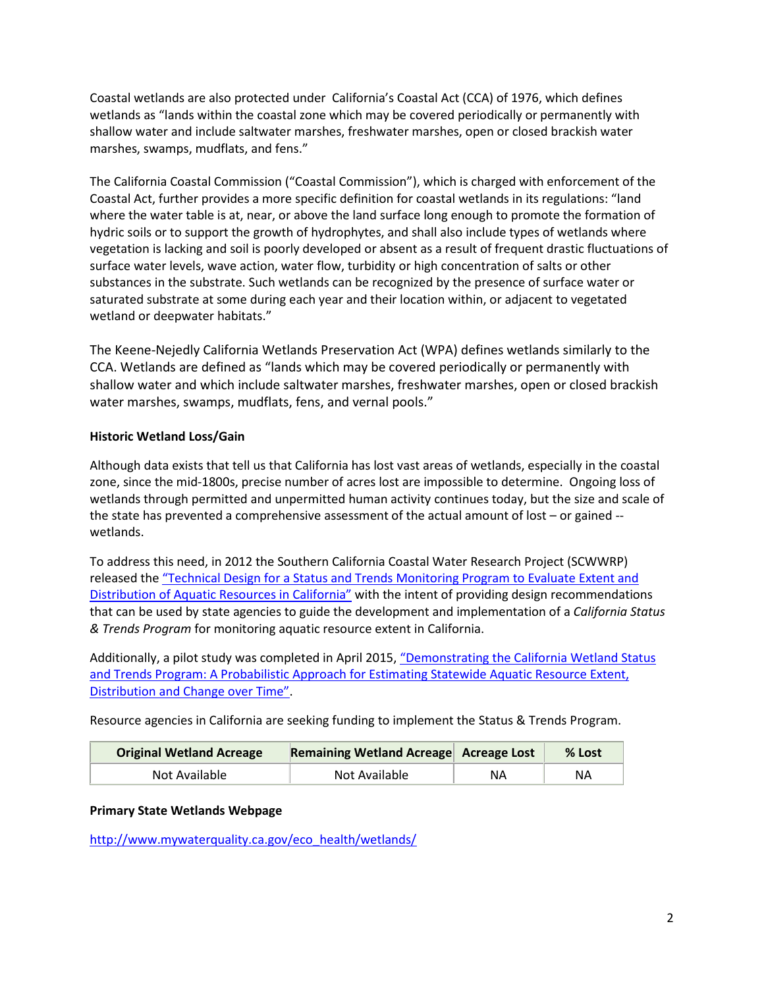Coastal wetlands are also protected under California's Coastal Act (CCA) of 1976, which defines wetlands as "lands within the coastal zone which may be covered periodically or permanently with shallow water and include saltwater marshes, freshwater marshes, open or closed brackish water marshes, swamps, mudflats, and fens."

The California Coastal Commission ("Coastal Commission"), which is charged with enforcement of the Coastal Act, further provides a more specific definition for coastal wetlands in its regulations: "land where the water table is at, near, or above the land surface long enough to promote the formation of hydric soils or to support the growth of hydrophytes, and shall also include types of wetlands where vegetation is lacking and soil is poorly developed or absent as a result of frequent drastic fluctuations of surface water levels, wave action, water flow, turbidity or high concentration of salts or other substances in the substrate. Such wetlands can be recognized by the presence of surface water or saturated substrate at some during each year and their location within, or adjacent to vegetated wetland or deepwater habitats."

The Keene-Nejedly California Wetlands Preservation Act (WPA) defines wetlands similarly to the CCA. Wetlands are defined as "lands which may be covered periodically or permanently with shallow water and which include saltwater marshes, freshwater marshes, open or closed brackish water marshes, swamps, mudflats, fens, and vernal pools."

# **Historic Wetland Loss/Gain**

Although data exists that tell us that California has lost vast areas of wetlands, especially in the coastal zone, since the mid-1800s, precise number of acres lost are impossible to determine. Ongoing loss of wetlands through permitted and unpermitted human activity continues today, but the size and scale of the state has prevented a comprehensive assessment of the actual amount of lost – or gained - wetlands.

To address this need, in 2012 the Southern California Coastal Water Research Project (SCWWRP) released the ["Technical Design for a Status and Trends Monitoring Program to Evaluate Extent and](http://ftp.sccwrp.org/pub/download/DOCUMENTS/TechnicalReports/706_StatusTrendsMonitorAqResources.pdf)  [Distribution of Aquatic Resources in California"](http://ftp.sccwrp.org/pub/download/DOCUMENTS/TechnicalReports/706_StatusTrendsMonitorAqResources.pdf) with the intent of providing design recommendations that can be used by state agencies to guide the development and implementation of a *California Status & Trends Program* for monitoring aquatic resource extent in California.

Additionally, a pilot study was completed in April 2015, "Demonstrating the California Wetland Status [and Trends Program: A Probabilistic Approach for Estimating Statewide Aquatic Resource Extent,](https://ccwg.mlml.calstate.edu/sites/default/files/documents/859_StatusAndTrendsDemo_FINAL.pdf)  [Distribution and Change over Time".](https://ccwg.mlml.calstate.edu/sites/default/files/documents/859_StatusAndTrendsDemo_FINAL.pdf)

Resource agencies in California are seeking funding to implement the Status & Trends Program.

| <b>Original Wetland Acreage</b> | Remaining Wetland Acreage Acreage Lost |    | $%$ Lost |
|---------------------------------|----------------------------------------|----|----------|
| Not Available                   | Not Available                          | ΝA | ΝA       |

# **Primary State Wetlands Webpage**

[http://www.mywaterquality.ca.gov/eco\\_health/wetlands/](http://www.mywaterquality.ca.gov/eco_health/wetlands/)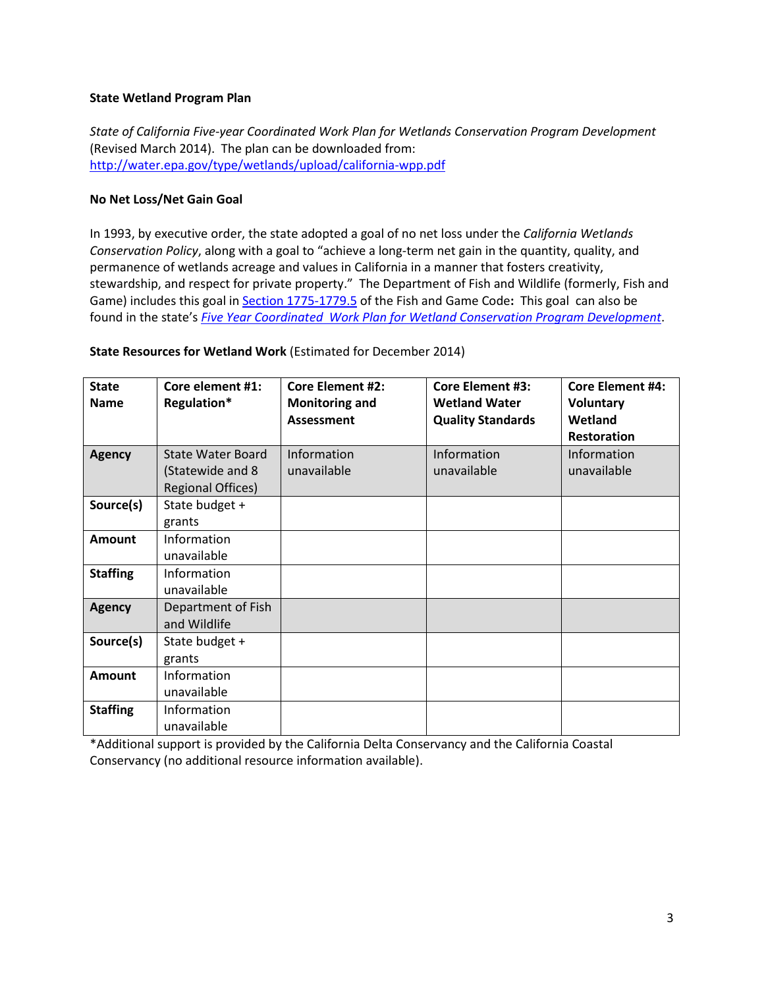#### **State Wetland Program Plan**

*State of California Five-year Coordinated Work Plan for Wetlands Conservation Program Development* (Revised March 2014). The plan can be downloaded from: <http://water.epa.gov/type/wetlands/upload/california-wpp.pdf>

#### **No Net Loss/Net Gain Goal**

In 1993, by executive order, the state adopted a goal of no net loss under the *California Wetlands Conservation Policy*, along with a goal to "achieve a long-term net gain in the quantity, quality, and permanence of wetlands acreage and values in California in a manner that fosters creativity, stewardship, and respect for private property." The Department of Fish and Wildlife (formerly, Fish and Game) includes this goal i[n Section 1775-1779.5](http://www.leginfo.ca.gov/cgi-bin/displaycode?section=fgc&group=01001-02000&file=1775-1779.5) of the Fish and Game Code**:** This goal can also be found in the state's *[Five Year Coordinated Work Plan for Wetland Conservation Program Development](http://water.epa.gov/type/wetlands/upload/ca_wpp.pdf)*.

|  | State Resources for Wetland Work (Estimated for December 2014) |  |
|--|----------------------------------------------------------------|--|
|  |                                                                |  |

| <b>State</b><br><b>Name</b> | Core element #1:<br>Regulation* | <b>Core Element #2:</b><br><b>Monitoring and</b><br><b>Assessment</b> | <b>Core Element #3:</b><br><b>Wetland Water</b><br><b>Quality Standards</b> | <b>Core Element #4:</b><br><b>Voluntary</b><br>Wetland<br><b>Restoration</b> |
|-----------------------------|---------------------------------|-----------------------------------------------------------------------|-----------------------------------------------------------------------------|------------------------------------------------------------------------------|
| <b>Agency</b>               | State Water Board               | Information                                                           | Information                                                                 | Information                                                                  |
|                             | (Statewide and 8                | unavailable                                                           | unavailable                                                                 | unavailable                                                                  |
|                             | <b>Regional Offices)</b>        |                                                                       |                                                                             |                                                                              |
| Source(s)                   | State budget +                  |                                                                       |                                                                             |                                                                              |
|                             | grants                          |                                                                       |                                                                             |                                                                              |
| <b>Amount</b>               | Information                     |                                                                       |                                                                             |                                                                              |
|                             | unavailable                     |                                                                       |                                                                             |                                                                              |
| <b>Staffing</b>             | Information                     |                                                                       |                                                                             |                                                                              |
|                             | unavailable                     |                                                                       |                                                                             |                                                                              |
| <b>Agency</b>               | Department of Fish              |                                                                       |                                                                             |                                                                              |
|                             | and Wildlife                    |                                                                       |                                                                             |                                                                              |
| Source(s)                   | State budget +                  |                                                                       |                                                                             |                                                                              |
|                             | grants                          |                                                                       |                                                                             |                                                                              |
| <b>Amount</b>               | Information                     |                                                                       |                                                                             |                                                                              |
|                             | unavailable                     |                                                                       |                                                                             |                                                                              |
| <b>Staffing</b>             | Information                     |                                                                       |                                                                             |                                                                              |
|                             | unavailable                     |                                                                       |                                                                             |                                                                              |

\*Additional support is provided by the California Delta Conservancy and the California Coastal Conservancy (no additional resource information available).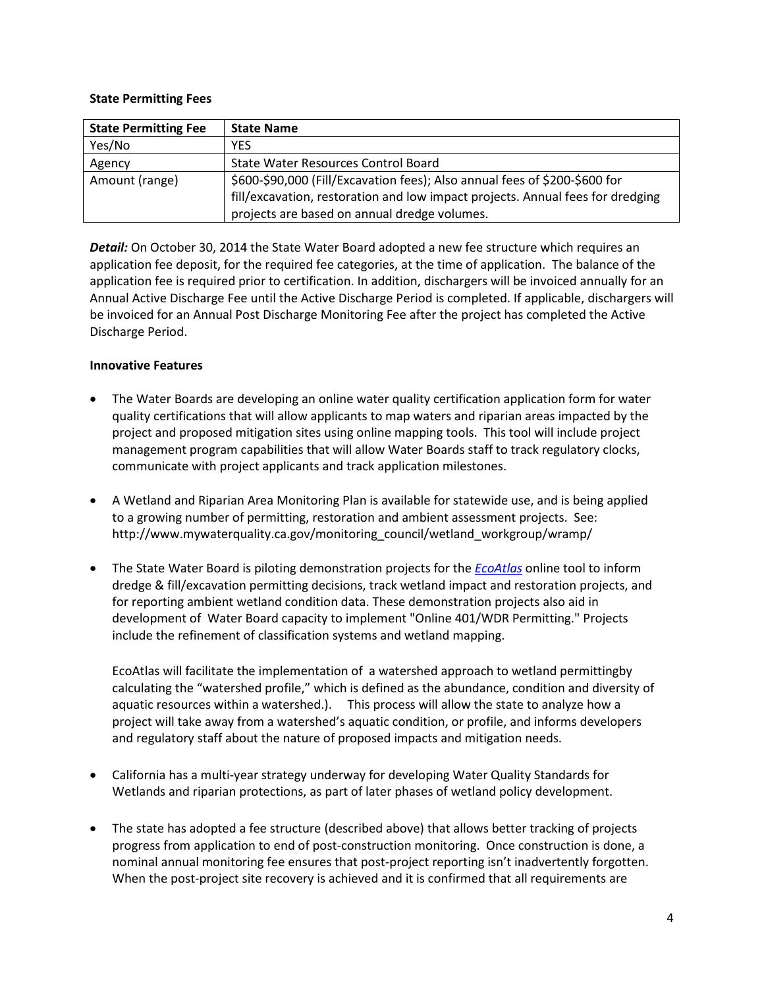#### **State Permitting Fees**

| <b>State Permitting Fee</b> | <b>State Name</b>                                                              |
|-----------------------------|--------------------------------------------------------------------------------|
| Yes/No                      | YES                                                                            |
| Agency                      | State Water Resources Control Board                                            |
| Amount (range)              | \$600-\$90,000 (Fill/Excavation fees); Also annual fees of \$200-\$600 for     |
|                             | fill/excavation, restoration and low impact projects. Annual fees for dredging |
|                             | projects are based on annual dredge volumes.                                   |

*Detail:* On October 30, 2014 the State Water Board adopted a new fee structure which requires an application fee deposit, for the required fee categories, at the time of application. The balance of the application fee is required prior to certification. In addition, dischargers will be invoiced annually for an Annual Active Discharge Fee until the Active Discharge Period is completed. If applicable, dischargers will be invoiced for an Annual Post Discharge Monitoring Fee after the project has completed the Active Discharge Period.

# **Innovative Features**

- The Water Boards are developing an online water quality certification application form for water quality certifications that will allow applicants to map waters and riparian areas impacted by the project and proposed mitigation sites using online mapping tools. This tool will include project management program capabilities that will allow Water Boards staff to track regulatory clocks, communicate with project applicants and track application milestones.
- A Wetland and Riparian Area Monitoring Plan is available for statewide use, and is being applied to a growing number of permitting, restoration and ambient assessment projects. See: http://www.mywaterquality.ca.gov/monitoring\_council/wetland\_workgroup/wramp/
- The State Water Board is piloting demonstration projects for the *[EcoAtlas](http://www.ecoatlas.org/)* online tool to inform dredge & fill/excavation permitting decisions, track wetland impact and restoration projects, and for reporting ambient wetland condition data. These demonstration projects also aid in development of Water Board capacity to implement "Online 401/WDR Permitting." Projects include the refinement of classification systems and wetland mapping.

EcoAtlas will facilitate the implementation of a watershed approach to wetland permittingby calculating the "watershed profile," which is defined as the abundance, condition and diversity of aquatic resources within a watershed.). This process will allow the state to analyze how a project will take away from a watershed's aquatic condition, or profile, and informs developers and regulatory staff about the nature of proposed impacts and mitigation needs.

- California has a multi-year strategy underway for developing Water Quality Standards for Wetlands and riparian protections, as part of later phases of wetland policy development.
- The state has adopted a fee structure (described above) that allows better tracking of projects progress from application to end of post-construction monitoring. Once construction is done, a nominal annual monitoring fee ensures that post-project reporting isn't inadvertently forgotten. When the post-project site recovery is achieved and it is confirmed that all requirements are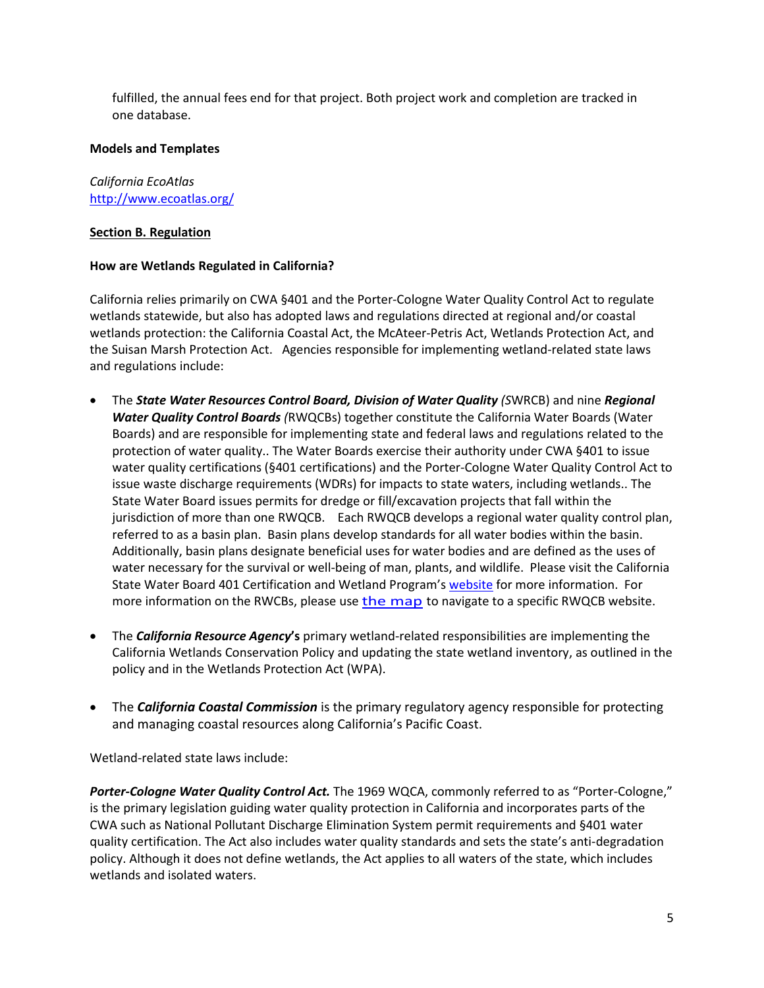fulfilled, the annual fees end for that project. Both project work and completion are tracked in one database.

#### **Models and Templates**

*California EcoAtlas* <http://www.ecoatlas.org/>

# <span id="page-4-0"></span>**Section B. Regulation**

# **How are Wetlands Regulated in California?**

California relies primarily on CWA §401 and the Porter-Cologne Water Quality Control Act to regulate wetlands statewide, but also has adopted laws and regulations directed at regional and/or coastal wetlands protection: the California Coastal Act, the McAteer-Petris Act, Wetlands Protection Act, and the Suisan Marsh Protection Act. Agencies responsible for implementing wetland-related state laws and regulations include:

- The *State Water Resources Control Board, Division of Water Quality (S*WRCB) and nine *Regional Water Quality Control Boards (*RWQCBs) together constitute the California Water Boards (Water Boards) and are responsible for implementing state and federal laws and regulations related to the protection of water quality.. The Water Boards exercise their authority under CWA §401 to issue water quality certifications (§401 certifications) and the Porter-Cologne Water Quality Control Act to issue waste discharge requirements (WDRs) for impacts to state waters, including wetlands.. The State Water Board issues permits for dredge or fill/excavation projects that fall within the jurisdiction of more than one RWQCB. Each RWQCB develops a regional water quality control plan, referred to as a basin plan. Basin plans develop standards for all water bodies within the basin. Additionally, basin plans designate beneficial uses for water bodies and are defined as the uses of water necessary for the survival or well-being of man, plants, and wildlife. Please visit the California State Water Board 401 Certification and Wetland Program's [website](http://www.waterboards.ca.gov/water_issues/programs/cwa401/index.shtml) for more information. For more information on the RWCBs, please use [the map](http://www.waterboards.ca.gov/waterboards_map.shtml) to navigate to a specific RWQCB website.
- The *California Resource Agency***'s** primary wetland-related responsibilities are implementing the California Wetlands Conservation Policy and updating the state wetland inventory, as outlined in the policy and in the Wetlands Protection Act (WPA).
- The *California Coastal Commission* is the primary regulatory agency responsible for protecting and managing coastal resources along California's Pacific Coast.

Wetland-related state laws include:

*Porter-Cologne Water Quality Control Act.* The 1969 WQCA, commonly referred to as "Porter-Cologne," is the primary legislation guiding water quality protection in California and incorporates parts of the CWA such as National Pollutant Discharge Elimination System permit requirements and §401 water quality certification. The Act also includes water quality standards and sets the state's anti-degradation policy. Although it does not define wetlands, the Act applies to all waters of the state, which includes wetlands and isolated waters.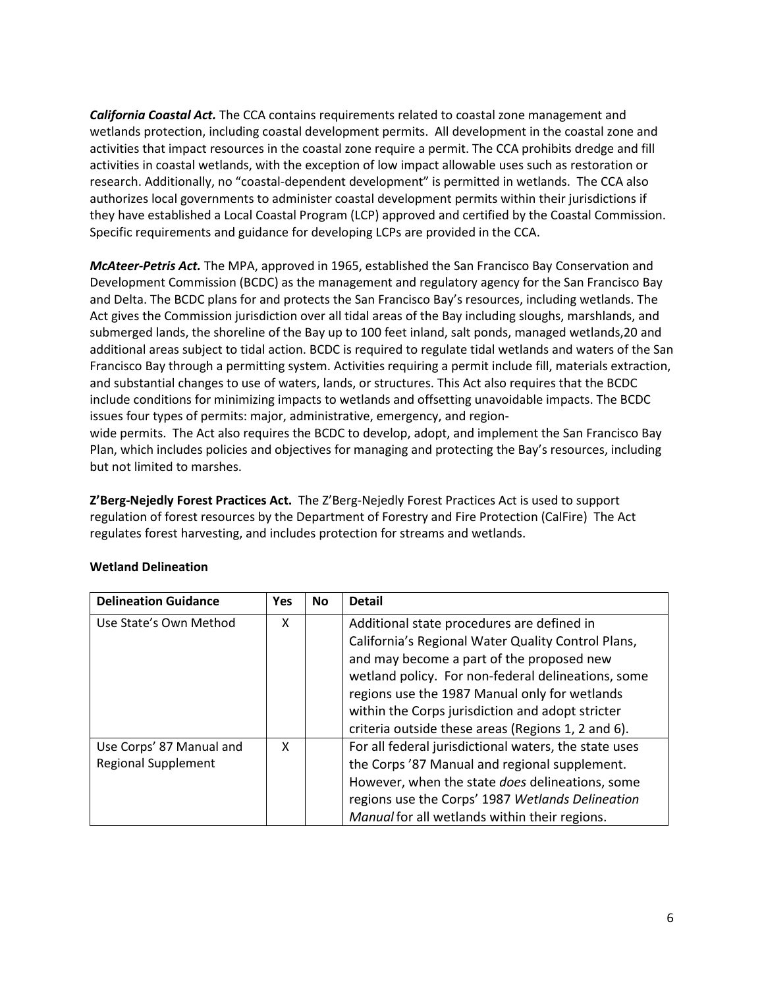*California Coastal Act.* The CCA contains requirements related to coastal zone management and wetlands protection, including coastal development permits. All development in the coastal zone and activities that impact resources in the coastal zone require a permit. The CCA prohibits dredge and fill activities in coastal wetlands, with the exception of low impact allowable uses such as restoration or research. Additionally, no "coastal-dependent development" is permitted in wetlands. The CCA also authorizes local governments to administer coastal development permits within their jurisdictions if they have established a Local Coastal Program (LCP) approved and certified by the Coastal Commission. Specific requirements and guidance for developing LCPs are provided in the CCA.

*McAteer-Petris Act.* The MPA, approved in 1965, established the San Francisco Bay Conservation and Development Commission (BCDC) as the management and regulatory agency for the San Francisco Bay and Delta. The BCDC plans for and protects the San Francisco Bay's resources, including wetlands. The Act gives the Commission jurisdiction over all tidal areas of the Bay including sloughs, marshlands, and submerged lands, the shoreline of the Bay up to 100 feet inland, salt ponds, managed wetlands,20 and additional areas subject to tidal action. BCDC is required to regulate tidal wetlands and waters of the San Francisco Bay through a permitting system. Activities requiring a permit include fill, materials extraction, and substantial changes to use of waters, lands, or structures. This Act also requires that the BCDC include conditions for minimizing impacts to wetlands and offsetting unavoidable impacts. The BCDC issues four types of permits: major, administrative, emergency, and regionwide permits. The Act also requires the BCDC to develop, adopt, and implement the San Francisco Bay

Plan, which includes policies and objectives for managing and protecting the Bay's resources, including but not limited to marshes.

**Z'Berg-Nejedly Forest Practices Act.** The Z'Berg-Nejedly Forest Practices Act is used to support regulation of forest resources by the Department of Forestry and Fire Protection (CalFire) The Act regulates forest harvesting, and includes protection for streams and wetlands.

| <b>Delineation Guidance</b> | <b>Yes</b> | No | <b>Detail</b>                                         |
|-----------------------------|------------|----|-------------------------------------------------------|
| Use State's Own Method      | x          |    | Additional state procedures are defined in            |
|                             |            |    | California's Regional Water Quality Control Plans,    |
|                             |            |    | and may become a part of the proposed new             |
|                             |            |    | wetland policy. For non-federal delineations, some    |
|                             |            |    | regions use the 1987 Manual only for wetlands         |
|                             |            |    | within the Corps jurisdiction and adopt stricter      |
|                             |            |    | criteria outside these areas (Regions 1, 2 and 6).    |
| Use Corps' 87 Manual and    | x          |    | For all federal jurisdictional waters, the state uses |
| <b>Regional Supplement</b>  |            |    | the Corps '87 Manual and regional supplement.         |
|                             |            |    | However, when the state does delineations, some       |
|                             |            |    | regions use the Corps' 1987 Wetlands Delineation      |
|                             |            |    | Manual for all wetlands within their regions.         |

# **Wetland Delineation**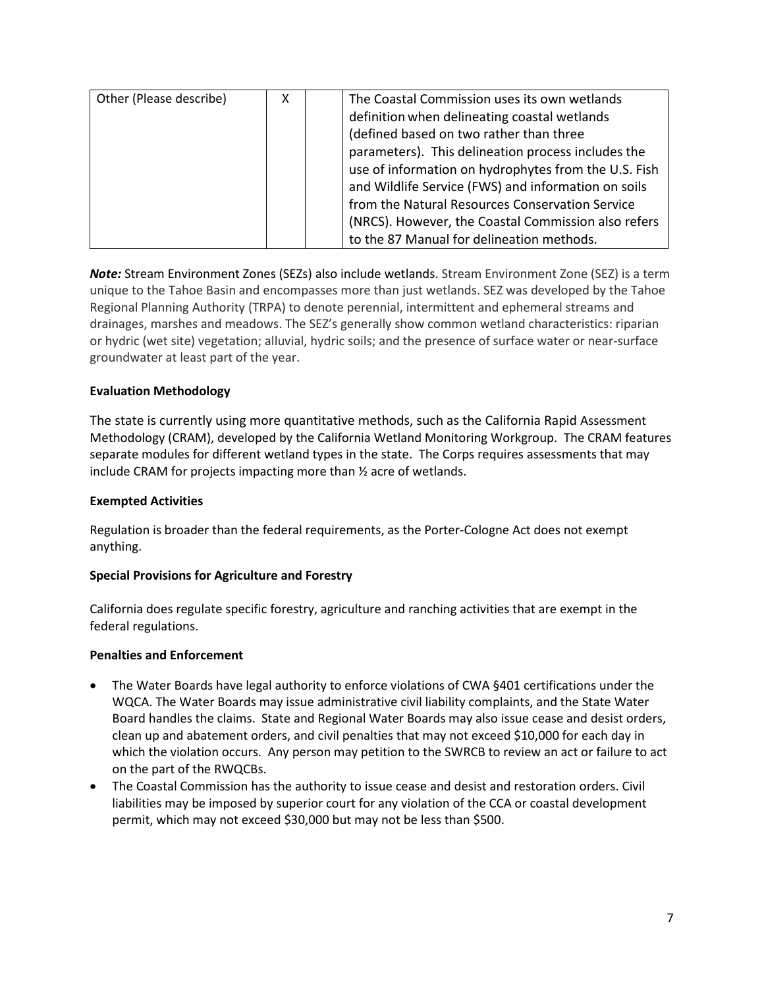| Other (Please describe) | χ | The Coastal Commission uses its own wetlands         |
|-------------------------|---|------------------------------------------------------|
|                         |   | definition when delineating coastal wetlands         |
|                         |   | (defined based on two rather than three              |
|                         |   | parameters). This delineation process includes the   |
|                         |   | use of information on hydrophytes from the U.S. Fish |
|                         |   | and Wildlife Service (FWS) and information on soils  |
|                         |   | from the Natural Resources Conservation Service      |
|                         |   | (NRCS). However, the Coastal Commission also refers  |
|                         |   | to the 87 Manual for delineation methods.            |

*Note:* Stream Environment Zones (SEZs) also include wetlands. Stream Environment Zone (SEZ) is a term unique to the Tahoe Basin and encompasses more than just wetlands. SEZ was developed by the Tahoe Regional Planning Authority (TRPA) to denote perennial, intermittent and ephemeral streams and drainages, marshes and meadows. The SEZ's generally show common wetland characteristics: riparian or hydric (wet site) vegetation; alluvial, hydric soils; and the presence of surface water or near-surface groundwater at least part of the year.

# **Evaluation Methodology**

The state is currently using more quantitative methods, such as the California Rapid Assessment Methodology (CRAM), developed by the California Wetland Monitoring Workgroup. The CRAM features separate modules for different wetland types in the state. The Corps requires assessments that may include CRAM for projects impacting more than ½ acre of wetlands.

# **Exempted Activities**

Regulation is broader than the federal requirements, as the Porter-Cologne Act does not exempt anything.

# **Special Provisions for Agriculture and Forestry**

California does regulate specific forestry, agriculture and ranching activities that are exempt in the federal regulations.

#### **Penalties and Enforcement**

- The Water Boards have legal authority to enforce violations of CWA §401 certifications under the WQCA. The Water Boards may issue administrative civil liability complaints, and the State Water Board handles the claims. State and Regional Water Boards may also issue cease and desist orders, clean up and abatement orders, and civil penalties that may not exceed \$10,000 for each day in which the violation occurs. Any person may petition to the SWRCB to review an act or failure to act on the part of the RWQCBs.
- The Coastal Commission has the authority to issue cease and desist and restoration orders. Civil liabilities may be imposed by superior court for any violation of the CCA or coastal development permit, which may not exceed \$30,000 but may not be less than \$500.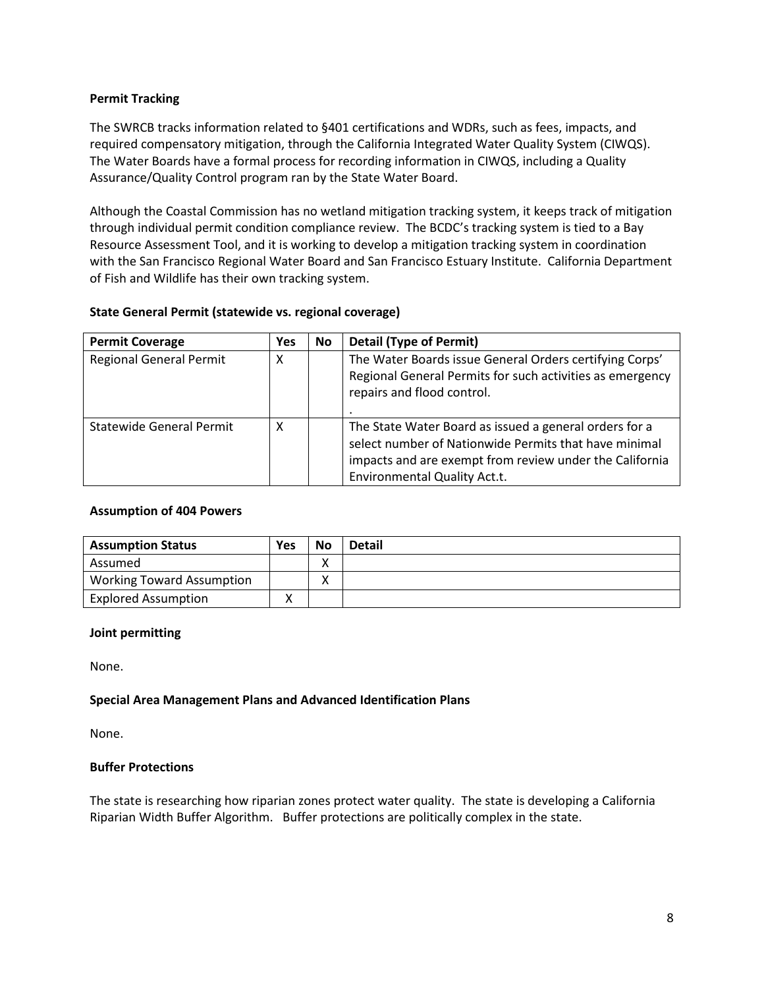# **Permit Tracking**

The SWRCB tracks information related to §401 certifications and WDRs, such as fees, impacts, and required compensatory mitigation, through the California Integrated Water Quality System (CIWQS). The Water Boards have a formal process for recording information in CIWQS, including a Quality Assurance/Quality Control program ran by the State Water Board.

Although the Coastal Commission has no wetland mitigation tracking system, it keeps track of mitigation through individual permit condition compliance review. The BCDC's tracking system is tied to a Bay Resource Assessment Tool, and it is working to develop a mitigation tracking system in coordination with the San Francisco Regional Water Board and San Francisco Estuary Institute. California Department of Fish and Wildlife has their own tracking system.

# **State General Permit (statewide vs. regional coverage)**

| <b>Permit Coverage</b>          | Yes | <b>No</b> | <b>Detail (Type of Permit)</b>                                                                                                                                                                                    |
|---------------------------------|-----|-----------|-------------------------------------------------------------------------------------------------------------------------------------------------------------------------------------------------------------------|
| <b>Regional General Permit</b>  | х   |           | The Water Boards issue General Orders certifying Corps'<br>Regional General Permits for such activities as emergency<br>repairs and flood control.                                                                |
| <b>Statewide General Permit</b> | х   |           | The State Water Board as issued a general orders for a<br>select number of Nationwide Permits that have minimal<br>impacts and are exempt from review under the California<br><b>Environmental Quality Act.t.</b> |

# **Assumption of 404 Powers**

| <b>Assumption Status</b>         | <b>Yes</b> | <b>No</b> | <b>Detail</b> |
|----------------------------------|------------|-----------|---------------|
| Assumed                          |            |           |               |
| <b>Working Toward Assumption</b> |            |           |               |
| <b>Explored Assumption</b>       |            |           |               |

# **Joint permitting**

None.

# **Special Area Management Plans and Advanced Identification Plans**

None.

# **Buffer Protections**

The state is researching how riparian zones protect water quality. The state is developing a California Riparian Width Buffer Algorithm. Buffer protections are politically complex in the state.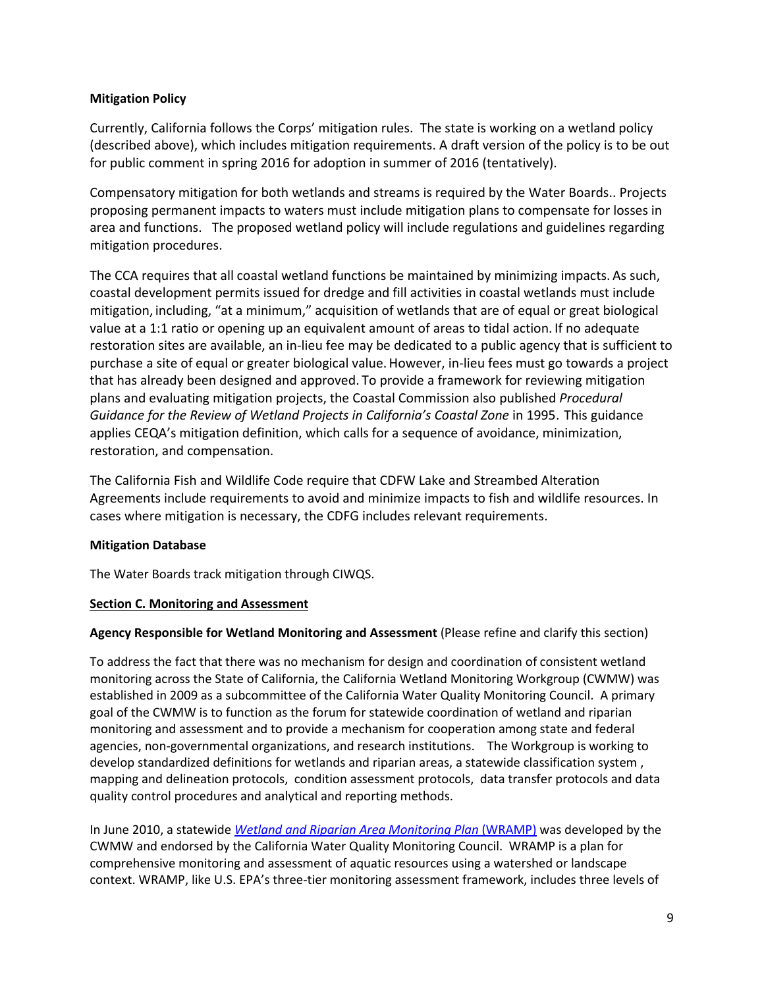# **Mitigation Policy**

Currently, California follows the Corps' mitigation rules. The state is working on a wetland policy (described above), which includes mitigation requirements. A draft version of the policy is to be out for public comment in spring 2016 for adoption in summer of 2016 (tentatively).

Compensatory mitigation for both wetlands and streams is required by the Water Boards.. Projects proposing permanent impacts to waters must include mitigation plans to compensate for losses in area and functions. The proposed wetland policy will include regulations and guidelines regarding mitigation procedures.

The CCA requires that all coastal wetland functions be maintained by minimizing impacts. As such, coastal development permits issued for dredge and fill activities in coastal wetlands must include mitigation, including, "at a minimum," acquisition of wetlands that are of equal or great biological value at a 1:1 ratio or opening up an equivalent amount of areas to tidal action. If no adequate restoration sites are available, an in-lieu fee may be dedicated to a public agency that is sufficient to purchase a site of equal or greater biological value.However, in-lieu fees must go towards a project that has already been designed and approved. To provide a framework for reviewing mitigation plans and evaluating mitigation projects, the Coastal Commission also published *Procedural*  Guidance for the Review of Wetland Projects in California's Coastal Zone in 1995. This guidance applies CEQA's mitigation definition, which calls for a sequence of avoidance, minimization, restoration, and compensation.

The California Fish and Wildlife Code require that CDFW Lake and Streambed Alteration Agreements include requirements to avoid and minimize impacts to fish and wildlife resources. In cases where mitigation is necessary, the CDFG includes relevant requirements.

# **Mitigation Database**

The Water Boards track mitigation through CIWQS.

# <span id="page-8-0"></span>**Section C. Monitoring and Assessment**

# **Agency Responsible for Wetland Monitoring and Assessment** (Please refine and clarify this section)

To address the fact that there was no mechanism for design and coordination of consistent wetland monitoring across the State of California, the California Wetland Monitoring Workgroup (CWMW) was established in 2009 as a subcommittee of the California Water Quality Monitoring Council. A primary goal of the CWMW is to function as the forum for statewide coordination of wetland and riparian monitoring and assessment and to provide a mechanism for cooperation among state and federal agencies, non-governmental organizations, and research institutions. The Workgroup is working to develop standardized definitions for wetlands and riparian areas, a statewide classification system , mapping and delineation protocols, condition assessment protocols, data transfer protocols and data quality control procedures and analytical and reporting methods.

In June 2010, a statewide *[Wetland and Riparian Area Monitoring Plan](http://www.mywaterquality.ca.gov/monitoring_council/wetland_workgroup/wramp/)* (WRAMP) was developed by the CWMW and endorsed by the California Water Quality Monitoring Council. WRAMP is a plan for comprehensive monitoring and assessment of aquatic resources using a watershed or landscape context. WRAMP, like U.S. EPA's three-tier monitoring assessment framework, includes three levels of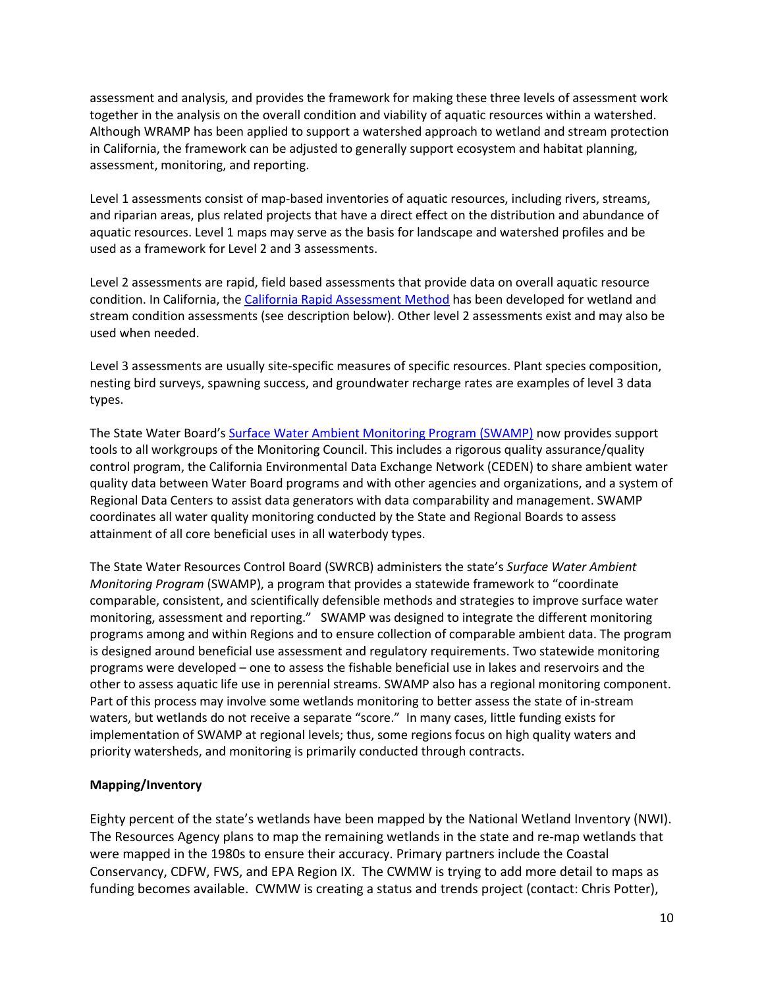assessment and analysis, and provides the framework for making these three levels of assessment work together in the analysis on the overall condition and viability of aquatic resources within a watershed. Although WRAMP has been applied to support a watershed approach to wetland and stream protection in California, the framework can be adjusted to generally support ecosystem and habitat planning, assessment, monitoring, and reporting.

Level 1 assessments consist of map-based inventories of aquatic resources, including rivers, streams, and riparian areas, plus related projects that have a direct effect on the distribution and abundance of aquatic resources. Level 1 maps may serve as the basis for landscape and watershed profiles and be used as a framework for Level 2 and 3 assessments.

Level 2 assessments are rapid, field based assessments that provide data on overall aquatic resource condition. In California, the [California Rapid Assessment Method](http://www.cramwetlands.org/) has been developed for wetland and stream condition assessments (see description below). Other level 2 assessments exist and may also be used when needed.

Level 3 assessments are usually site-specific measures of specific resources. Plant species composition, nesting bird surveys, spawning success, and groundwater recharge rates are examples of level 3 data types.

The State Water Board's [Surface Water Ambient Monitoring Program \(SWAMP\)](http://www.waterboards.ca.gov/water_issues/programs/swamp/) now provides support tools to all workgroups of the Monitoring Council. This includes a rigorous quality assurance/quality control program, the California Environmental Data Exchange Network (CEDEN) to share ambient water quality data between Water Board programs and with other agencies and organizations, and a system of Regional Data Centers to assist data generators with data comparability and management. SWAMP coordinates all water quality monitoring conducted by the State and Regional Boards to assess attainment of all core beneficial uses in all waterbody types.

The State Water Resources Control Board (SWRCB) administers the state's *Surface Water Ambient Monitoring Program* (SWAMP), a program that provides a statewide framework to "coordinate comparable, consistent, and scientifically defensible methods and strategies to improve surface water monitoring, assessment and reporting." SWAMP was designed to integrate the different monitoring programs among and within Regions and to ensure collection of comparable ambient data. The program is designed around beneficial use assessment and regulatory requirements. Two statewide monitoring programs were developed – one to assess the fishable beneficial use in lakes and reservoirs and the other to assess aquatic life use in perennial streams. SWAMP also has a regional monitoring component. Part of this process may involve some wetlands monitoring to better assess the state of in-stream waters, but wetlands do not receive a separate "score." In many cases, little funding exists for implementation of SWAMP at regional levels; thus, some regions focus on high quality waters and priority watersheds, and monitoring is primarily conducted through contracts.

# **Mapping/Inventory**

Eighty percent of the state's wetlands have been mapped by the National Wetland Inventory (NWI). The Resources Agency plans to map the remaining wetlands in the state and re-map wetlands that were mapped in the 1980s to ensure their accuracy. Primary partners include the Coastal Conservancy, CDFW, FWS, and EPA Region IX. The CWMW is trying to add more detail to maps as funding becomes available. CWMW is creating a status and trends project (contact: Chris Potter),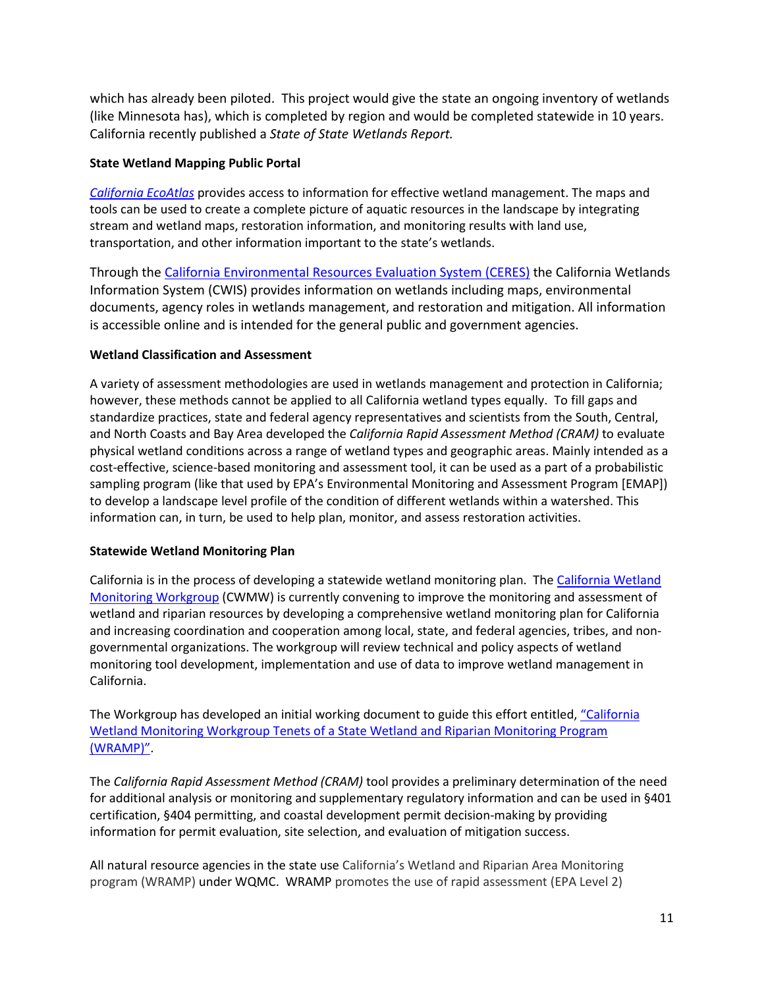which has already been piloted. This project would give the state an ongoing inventory of wetlands (like Minnesota has), which is completed by region and would be completed statewide in 10 years. California recently published a *State of State Wetlands Report.*

# **State Wetland Mapping Public Portal**

*[California EcoAtlas](http://www.ecoatlas.org/)* provides access to information for effective wetland management. The maps and tools can be used to create a complete picture of aquatic resources in the landscape by integrating stream and wetland maps, restoration information, and monitoring results with land use, transportation, and other information important to the state's wetlands.

Through the [California Environmental Resources Evaluation System \(CERES\)](http://ceres.ca.gov/wetlands/) the California Wetlands Information System (CWIS) provides information on wetlands including maps, environmental documents, agency roles in wetlands management, and restoration and mitigation. All information is accessible online and is intended for the general public and government agencies.

# **Wetland Classification and Assessment**

A variety of assessment methodologies are used in wetlands management and protection in California; however, these methods cannot be applied to all California wetland types equally. To fill gaps and standardize practices, state and federal agency representatives and scientists from the South, Central, and North Coasts and Bay Area developed the *California Rapid Assessment Method (CRAM)* to evaluate physical wetland conditions across a range of wetland types and geographic areas. Mainly intended as a cost-effective, science-based monitoring and assessment tool, it can be used as a part of a probabilistic sampling program (like that used by EPA's Environmental Monitoring and Assessment Program [EMAP]) to develop a landscape level profile of the condition of different wetlands within a watershed. This information can, in turn, be used to help plan, monitor, and assess restoration activities.

# **Statewide Wetland Monitoring Plan**

California is in the process of developing a statewide wetland monitoring plan. The [California Wetland](http://www.mywaterquality.ca.gov/monitoring_council/wetland_workgroup/wramp/)  [Monitoring Workgroup](http://www.mywaterquality.ca.gov/monitoring_council/wetland_workgroup/wramp/) (CWMW) is currently convening to improve the monitoring and assessment of wetland and riparian resources by developing a comprehensive wetland monitoring plan for California and increasing coordination and cooperation among local, state, and federal agencies, tribes, and nongovernmental organizations. The workgroup will review technical and policy aspects of wetland monitoring tool development, implementation and use of data to improve wetland management in California.

The Workgroup has developed an initial working document to guide this effort entitled, ["California](http://www.mywaterquality.ca.gov/monitoring_council/wetland_workgroup/docs/2010/tenetsprogram.pdf.)  [Wetland Monitoring Workgroup Tenets of a State Wetland and Riparian Monitoring Program](http://www.mywaterquality.ca.gov/monitoring_council/wetland_workgroup/docs/2010/tenetsprogram.pdf.)  [\(WRAMP\)".](http://www.mywaterquality.ca.gov/monitoring_council/wetland_workgroup/docs/2010/tenetsprogram.pdf.)

The *California Rapid Assessment Method (CRAM)* tool provides a preliminary determination of the need for additional analysis or monitoring and supplementary regulatory information and can be used in §401 certification, §404 permitting, and coastal development permit decision-making by providing information for permit evaluation, site selection, and evaluation of mitigation success.

All natural resource agencies in the state use California's Wetland and Riparian Area Monitoring program (WRAMP) under WQMC. WRAMP promotes the use of rapid assessment (EPA Level 2)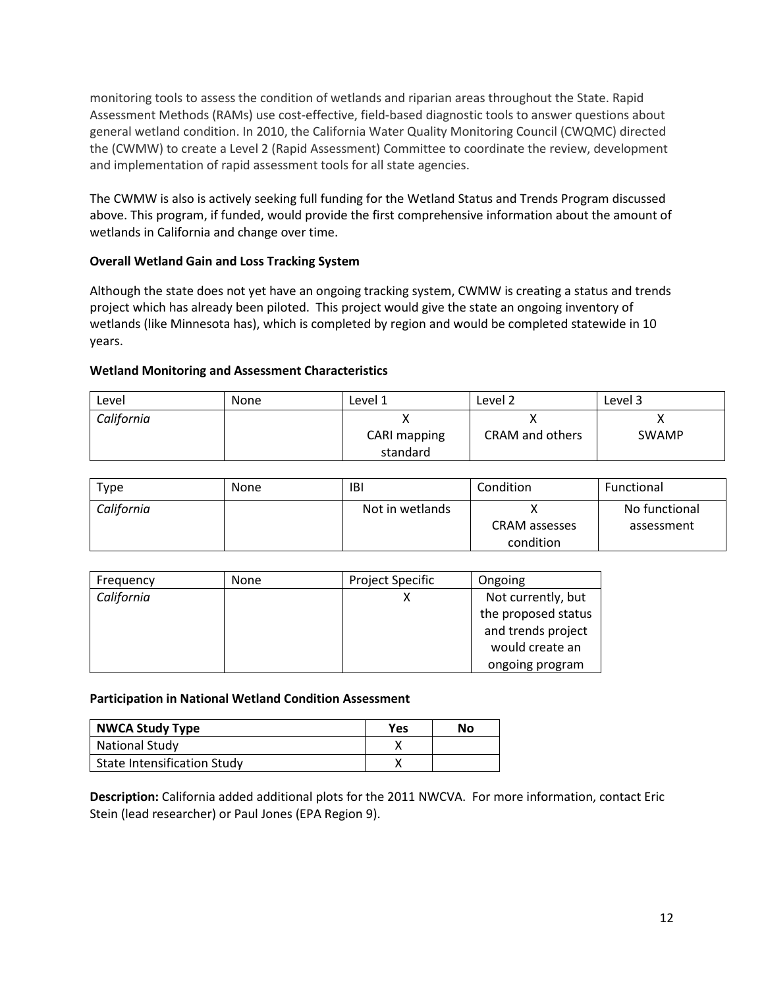monitoring tools to assess the condition of wetlands and riparian areas throughout the State. Rapid Assessment Methods (RAMs) use cost-effective, field-based diagnostic tools to answer questions about general wetland condition. In 2010, the California Water Quality Monitoring Council (CWQMC) directed the (CWMW) to create a Level 2 (Rapid Assessment) Committee to coordinate the review, development and implementation of rapid assessment tools for all state agencies.

The CWMW is also is actively seeking full funding for the Wetland Status and Trends Program discussed above. This program, if funded, would provide the first comprehensive information about the amount of wetlands in California and change over time.

# **Overall Wetland Gain and Loss Tracking System**

Although the state does not yet have an ongoing tracking system, CWMW is creating a status and trends project which has already been piloted. This project would give the state an ongoing inventory of wetlands (like Minnesota has), which is completed by region and would be completed statewide in 10 years.

# **Wetland Monitoring and Assessment Characteristics**

| Level      | <b>None</b> | Level 1      | Level 2         | Level 3      |
|------------|-------------|--------------|-----------------|--------------|
| California |             |              |                 |              |
|            |             | CARI mapping | CRAM and others | <b>SWAMP</b> |
|            |             | standard     |                 |              |

| Type       | <b>None</b> | IBI             | Condition                  | Functional                  |
|------------|-------------|-----------------|----------------------------|-----------------------------|
| California |             | Not in wetlands | CRAM assesses<br>condition | No functional<br>assessment |

| Frequency  | <b>None</b> | <b>Project Specific</b> | Ongoing             |
|------------|-------------|-------------------------|---------------------|
| California |             |                         | Not currently, but  |
|            |             |                         | the proposed status |
|            |             |                         | and trends project  |
|            |             |                         | would create an     |
|            |             |                         | ongoing program     |

# **Participation in National Wetland Condition Assessment**

| <b>NWCA Study Type</b>             | Yes | No |
|------------------------------------|-----|----|
| <b>National Study</b>              |     |    |
| <b>State Intensification Study</b> |     |    |

**Description:** California added additional plots for the 2011 NWCVA. For more information, contact Eric Stein (lead researcher) or Paul Jones (EPA Region 9).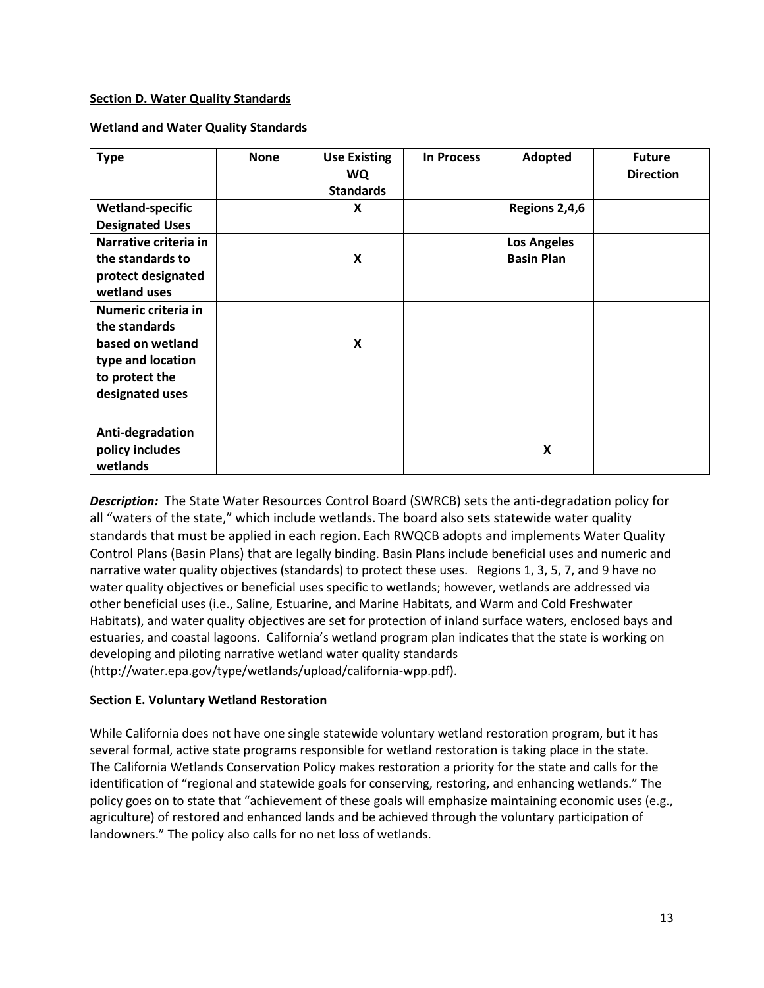# <span id="page-12-0"></span>**Section D. Water Quality Standards**

# **Wetland and Water Quality Standards**

| <b>Type</b>                                                                                                        | <b>None</b> | <b>Use Existing</b><br>WQ<br><b>Standards</b> | <b>In Process</b> | Adopted                                 | <b>Future</b><br><b>Direction</b> |
|--------------------------------------------------------------------------------------------------------------------|-------------|-----------------------------------------------|-------------------|-----------------------------------------|-----------------------------------|
| <b>Wetland-specific</b><br><b>Designated Uses</b>                                                                  |             | X                                             |                   | Regions 2,4,6                           |                                   |
| Narrative criteria in<br>the standards to<br>protect designated<br>wetland uses                                    |             | X                                             |                   | <b>Los Angeles</b><br><b>Basin Plan</b> |                                   |
| Numeric criteria in<br>the standards<br>based on wetland<br>type and location<br>to protect the<br>designated uses |             | X                                             |                   |                                         |                                   |
| Anti-degradation<br>policy includes<br>wetlands                                                                    |             |                                               |                   | X                                       |                                   |

*Description:* The State Water Resources Control Board (SWRCB) sets the anti-degradation policy for all "waters of the state," which include wetlands. The board also sets statewide water quality standards that must be applied in each region. Each RWQCB adopts and implements Water Quality Control Plans (Basin Plans) that are legally binding. Basin Plans include beneficial uses and numeric and narrative water quality objectives (standards) to protect these uses. Regions 1, 3, 5, 7, and 9 have no water quality objectives or beneficial uses specific to wetlands; however, wetlands are addressed via other beneficial uses (i.e., Saline, Estuarine, and Marine Habitats, and Warm and Cold Freshwater Habitats), and water quality objectives are set for protection of inland surface waters, enclosed bays and estuaries, and coastal lagoons. California's wetland program plan indicates that the state is working on developing and piloting narrative wetland water quality standards (http://water.epa.gov/type/wetlands/upload/california-wpp.pdf).

# <span id="page-12-1"></span>**Section E. Voluntary Wetland Restoration**

While California does not have one single statewide voluntary wetland restoration program, but it has several formal, active state programs responsible for wetland restoration is taking place in the state. The California Wetlands Conservation Policy makes restoration a priority for the state and calls for the identification of "regional and statewide goals for conserving, restoring, and enhancing wetlands." The policy goes on to state that "achievement of these goals will emphasize maintaining economic uses (e.g., agriculture) of restored and enhanced lands and be achieved through the voluntary participation of landowners." The policy also calls for no net loss of wetlands.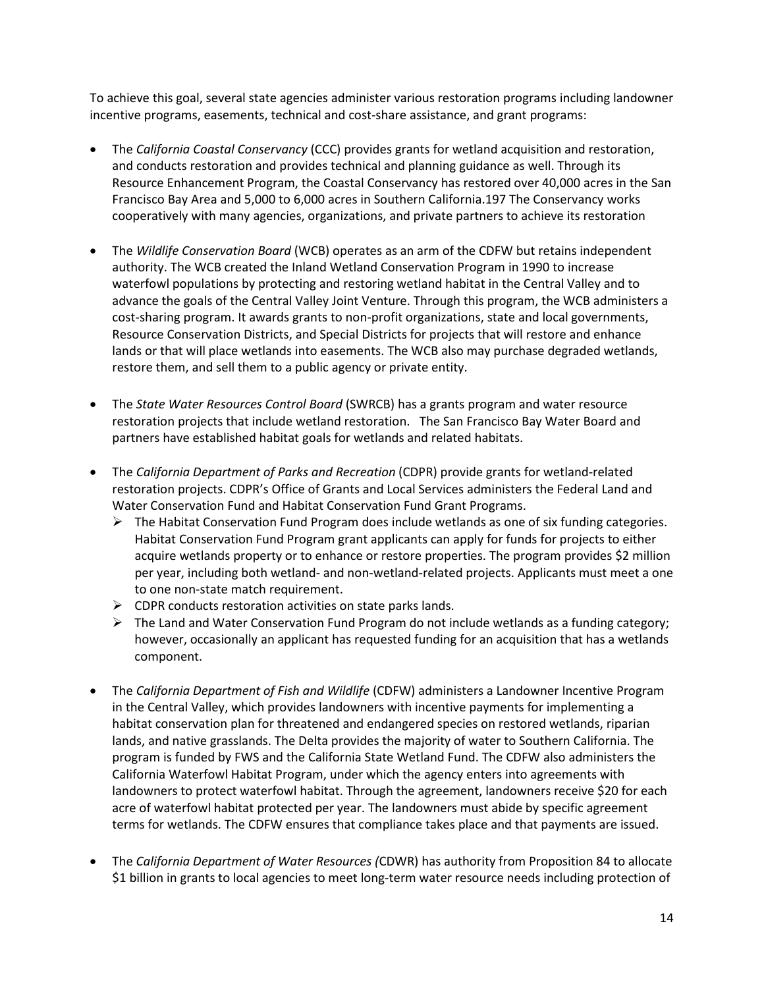To achieve this goal, several state agencies administer various restoration programs including landowner incentive programs, easements, technical and cost-share assistance, and grant programs:

- The *California Coastal Conservancy* (CCC) provides grants for wetland acquisition and restoration, and conducts restoration and provides technical and planning guidance as well. Through its Resource Enhancement Program, the Coastal Conservancy has restored over 40,000 acres in the San Francisco Bay Area and 5,000 to 6,000 acres in Southern California.197 The Conservancy works cooperatively with many agencies, organizations, and private partners to achieve its restoration
- The *Wildlife Conservation Board* (WCB) operates as an arm of the CDFW but retains independent authority. The WCB created the Inland Wetland Conservation Program in 1990 to increase waterfowl populations by protecting and restoring wetland habitat in the Central Valley and to advance the goals of the Central Valley Joint Venture. Through this program, the WCB administers a cost-sharing program. It awards grants to non-profit organizations, state and local governments, Resource Conservation Districts, and Special Districts for projects that will restore and enhance lands or that will place wetlands into easements. The WCB also may purchase degraded wetlands, restore them, and sell them to a public agency or private entity.
- The *State Water Resources Control Board* (SWRCB) has a grants program and water resource restoration projects that include wetland restoration. The San Francisco Bay Water Board and partners have established habitat goals for wetlands and related habitats.
- The *California Department of Parks and Recreation* (CDPR) provide grants for wetland-related restoration projects. CDPR's Office of Grants and Local Services administers the Federal Land and Water Conservation Fund and Habitat Conservation Fund Grant Programs.
	- $\triangleright$  The Habitat Conservation Fund Program does include wetlands as one of six funding categories. Habitat Conservation Fund Program grant applicants can apply for funds for projects to either acquire wetlands property or to enhance or restore properties. The program provides \$2 million per year, including both wetland- and non-wetland-related projects. Applicants must meet a one to one non-state match requirement.
	- $\triangleright$  CDPR conducts restoration activities on state parks lands.
	- $\triangleright$  The Land and Water Conservation Fund Program do not include wetlands as a funding category; however, occasionally an applicant has requested funding for an acquisition that has a wetlands component.
- The *California Department of Fish and Wildlife* (CDFW) administers a Landowner Incentive Program in the Central Valley, which provides landowners with incentive payments for implementing a habitat conservation plan for threatened and endangered species on restored wetlands, riparian lands, and native grasslands. The Delta provides the majority of water to Southern California. The program is funded by FWS and the California State Wetland Fund. The CDFW also administers the California Waterfowl Habitat Program, under which the agency enters into agreements with landowners to protect waterfowl habitat. Through the agreement, landowners receive \$20 for each acre of waterfowl habitat protected per year. The landowners must abide by specific agreement terms for wetlands. The CDFW ensures that compliance takes place and that payments are issued.
- The *California Department of Water Resources (*CDWR) has authority from Proposition 84 to allocate \$1 billion in grants to local agencies to meet long-term water resource needs including protection of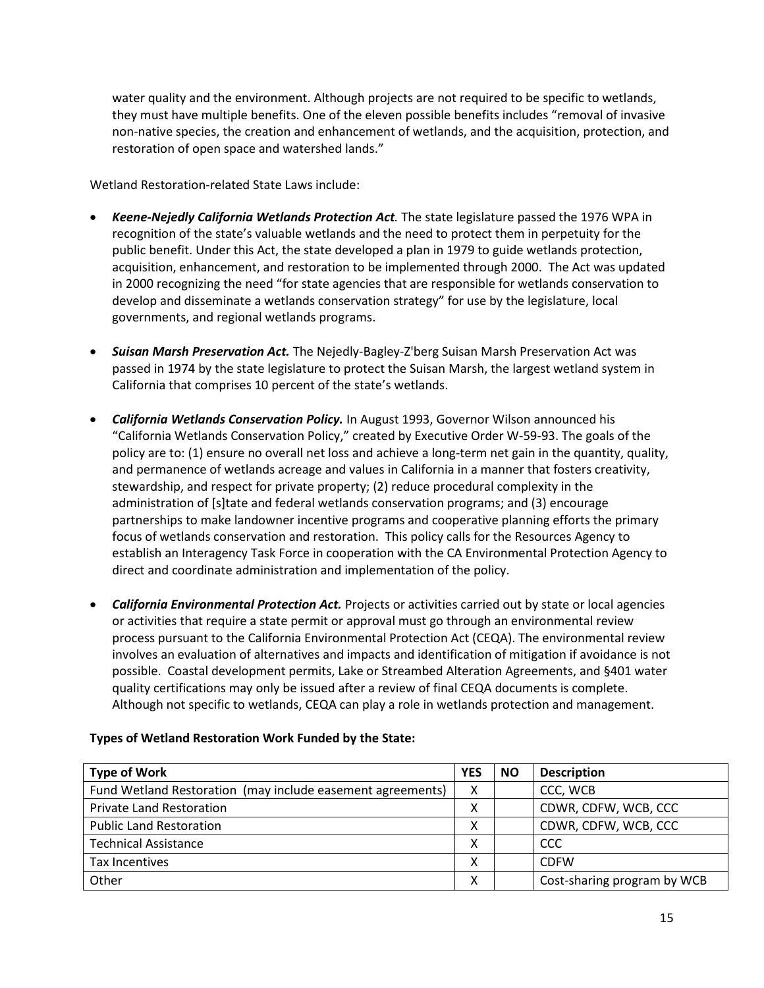water quality and the environment. Although projects are not required to be specific to wetlands, they must have multiple benefits. One of the eleven possible benefits includes "removal of invasive non-native species, the creation and enhancement of wetlands, and the acquisition, protection, and restoration of open space and watershed lands."

Wetland Restoration-related State Laws include:

- *Keene-Nejedly California Wetlands Protection Act.* The state legislature passed the 1976 WPA in recognition of the state's valuable wetlands and the need to protect them in perpetuity for the public benefit. Under this Act, the state developed a plan in 1979 to guide wetlands protection, acquisition, enhancement, and restoration to be implemented through 2000. The Act was updated in 2000 recognizing the need "for state agencies that are responsible for wetlands conservation to develop and disseminate a wetlands conservation strategy" for use by the legislature, local governments, and regional wetlands programs.
- *Suisan Marsh Preservation Act.* The Nejedly-Bagley-Z'berg Suisan Marsh Preservation Act was passed in 1974 by the state legislature to protect the Suisan Marsh, the largest wetland system in California that comprises 10 percent of the state's wetlands.
- *California Wetlands Conservation Policy.* In August 1993, Governor Wilson announced his "California Wetlands Conservation Policy," created by Executive Order W-59-93. The goals of the policy are to: (1) ensure no overall net loss and achieve a long-term net gain in the quantity, quality, and permanence of wetlands acreage and values in California in a manner that fosters creativity, stewardship, and respect for private property; (2) reduce procedural complexity in the administration of [s]tate and federal wetlands conservation programs; and (3) encourage partnerships to make landowner incentive programs and cooperative planning efforts the primary focus of wetlands conservation and restoration. This policy calls for the Resources Agency to establish an Interagency Task Force in cooperation with the CA Environmental Protection Agency to direct and coordinate administration and implementation of the policy.
- *California Environmental Protection Act.* Projects or activities carried out by state or local agencies or activities that require a state permit or approval must go through an environmental review process pursuant to the California Environmental Protection Act (CEQA). The environmental review involves an evaluation of alternatives and impacts and identification of mitigation if avoidance is not possible. Coastal development permits, Lake or Streambed Alteration Agreements, and §401 water quality certifications may only be issued after a review of final CEQA documents is complete. Although not specific to wetlands, CEQA can play a role in wetlands protection and management.

| <b>Type of Work</b>                                        | <b>YES</b> | <b>NO</b> | <b>Description</b>          |
|------------------------------------------------------------|------------|-----------|-----------------------------|
| Fund Wetland Restoration (may include easement agreements) | Χ          |           | CCC, WCB                    |
| <b>Private Land Restoration</b>                            | χ          |           | CDWR, CDFW, WCB, CCC        |
| <b>Public Land Restoration</b>                             | v<br>⋏     |           | CDWR, CDFW, WCB, CCC        |
| <b>Technical Assistance</b>                                | х          |           | CCC                         |
| Tax Incentives                                             | x          |           | <b>CDFW</b>                 |
| Other                                                      | х          |           | Cost-sharing program by WCB |

# **Types of Wetland Restoration Work Funded by the State:**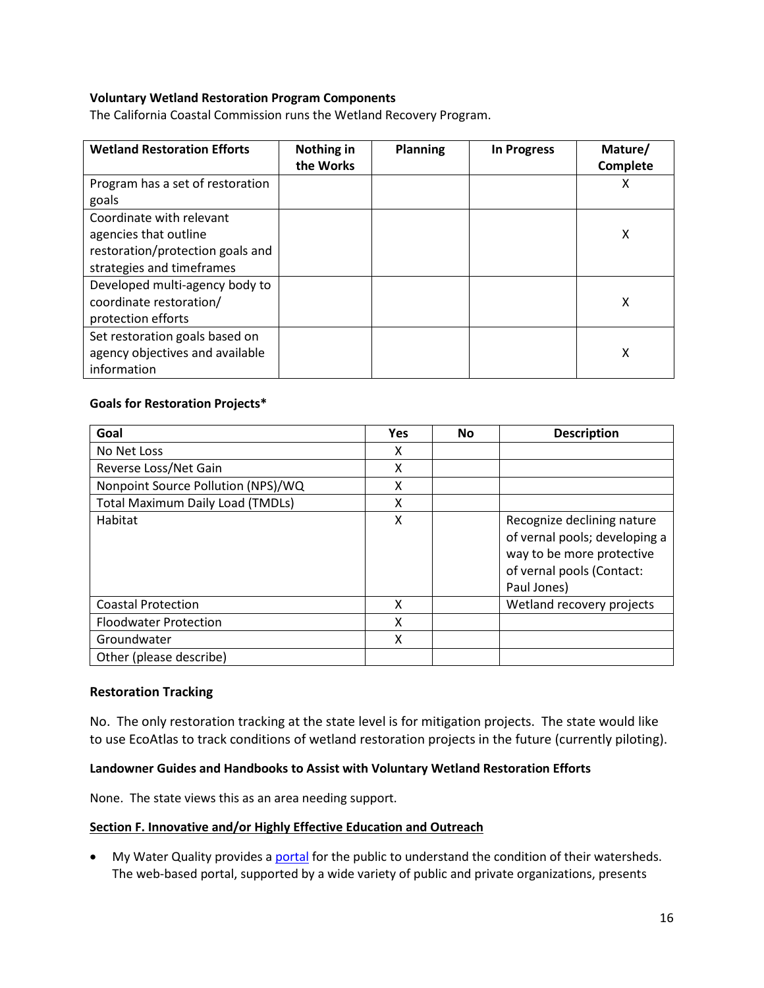# **Voluntary Wetland Restoration Program Components**

The California Coastal Commission runs the Wetland Recovery Program.

| <b>Wetland Restoration Efforts</b>                                                                                 | Nothing in<br>the Works | <b>Planning</b> | <b>In Progress</b> | Mature/<br>Complete |
|--------------------------------------------------------------------------------------------------------------------|-------------------------|-----------------|--------------------|---------------------|
| Program has a set of restoration<br>goals                                                                          |                         |                 |                    | х                   |
| Coordinate with relevant<br>agencies that outline<br>restoration/protection goals and<br>strategies and timeframes |                         |                 |                    | X                   |
| Developed multi-agency body to<br>coordinate restoration/<br>protection efforts                                    |                         |                 |                    | χ                   |
| Set restoration goals based on<br>agency objectives and available<br>information                                   |                         |                 |                    | χ                   |

# **Goals for Restoration Projects\***

| Goal                                    | <b>Yes</b> | <b>No</b> | <b>Description</b>                                                                                                                   |
|-----------------------------------------|------------|-----------|--------------------------------------------------------------------------------------------------------------------------------------|
| No Net Loss                             | X          |           |                                                                                                                                      |
| Reverse Loss/Net Gain                   | х          |           |                                                                                                                                      |
| Nonpoint Source Pollution (NPS)/WQ      | x          |           |                                                                                                                                      |
| <b>Total Maximum Daily Load (TMDLs)</b> | X          |           |                                                                                                                                      |
| Habitat                                 | X          |           | Recognize declining nature<br>of vernal pools; developing a<br>way to be more protective<br>of vernal pools (Contact:<br>Paul Jones) |
| <b>Coastal Protection</b>               | X          |           | Wetland recovery projects                                                                                                            |
| <b>Floodwater Protection</b>            | X          |           |                                                                                                                                      |
| Groundwater                             | X          |           |                                                                                                                                      |
| Other (please describe)                 |            |           |                                                                                                                                      |

#### **Restoration Tracking**

No. The only restoration tracking at the state level is for mitigation projects. The state would like to use EcoAtlas to track conditions of wetland restoration projects in the future (currently piloting).

# **Landowner Guides and Handbooks to Assist with Voluntary Wetland Restoration Efforts**

None. The state views this as an area needing support.

#### <span id="page-15-0"></span>**Section F. Innovative and/or Highly Effective Education and Outreach**

• My Water Quality provides a **portal** for the public to understand the condition of their watersheds. The web-based portal, supported by a wide variety of public and private organizations, presents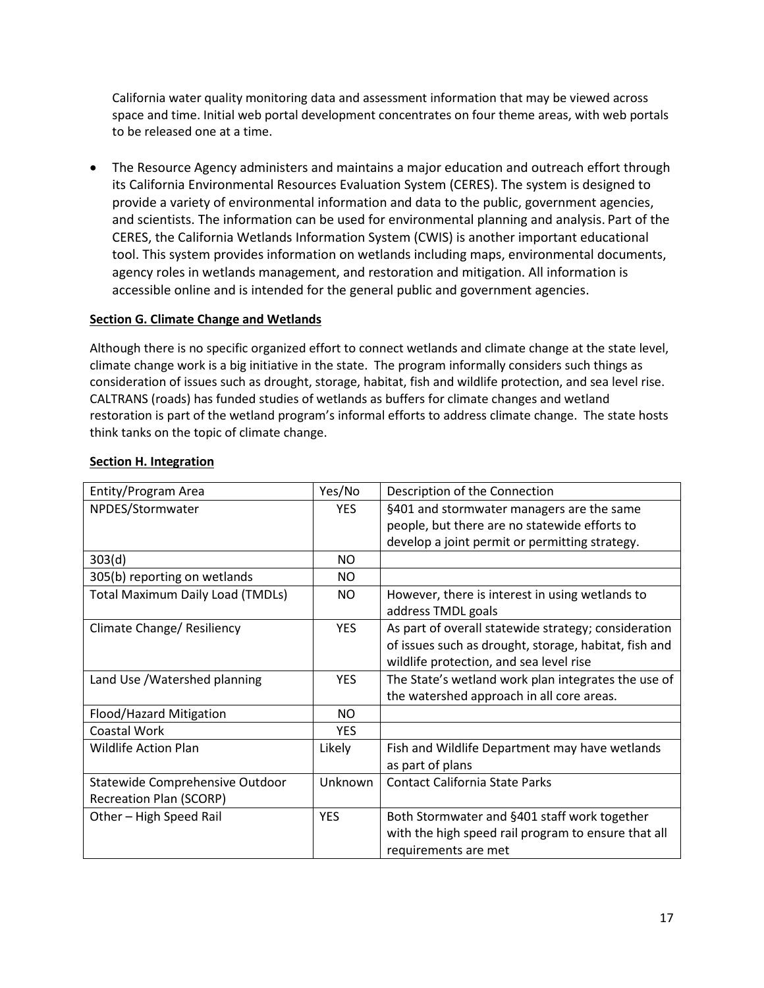California water quality monitoring data and assessment information that may be viewed across space and time. Initial web portal development concentrates on four theme areas, with web portals to be released one at a time.

• The Resource Agency administers and maintains a major education and outreach effort through its California Environmental Resources Evaluation System (CERES). The system is designed to provide a variety of environmental information and data to the public, government agencies, and scientists. The information can be used for environmental planning and analysis. Part of the CERES, the California Wetlands Information System (CWIS) is another important educational tool. This system provides information on wetlands including maps, environmental documents, agency roles in wetlands management, and restoration and mitigation. All information is accessible online and is intended for the general public and government agencies.

# **Section G. Climate Change and Wetlands**

Although there is no specific organized effort to connect wetlands and climate change at the state level, climate change work is a big initiative in the state. The program informally considers such things as consideration of issues such as drought, storage, habitat, fish and wildlife protection, and sea level rise. CALTRANS (roads) has funded studies of wetlands as buffers for climate changes and wetland restoration is part of the wetland program's informal efforts to address climate change. The state hosts think tanks on the topic of climate change.

| Entity/Program Area                     | Yes/No     | Description of the Connection                         |
|-----------------------------------------|------------|-------------------------------------------------------|
| NPDES/Stormwater                        | <b>YES</b> | §401 and stormwater managers are the same             |
|                                         |            | people, but there are no statewide efforts to         |
|                                         |            | develop a joint permit or permitting strategy.        |
| 303(d)                                  | NO.        |                                                       |
| 305(b) reporting on wetlands            | NO.        |                                                       |
| <b>Total Maximum Daily Load (TMDLs)</b> | NO.        | However, there is interest in using wetlands to       |
|                                         |            | address TMDL goals                                    |
| Climate Change/ Resiliency              | <b>YES</b> | As part of overall statewide strategy; consideration  |
|                                         |            | of issues such as drought, storage, habitat, fish and |
|                                         |            | wildlife protection, and sea level rise               |
| Land Use / Watershed planning           | <b>YES</b> | The State's wetland work plan integrates the use of   |
|                                         |            | the watershed approach in all core areas.             |
| Flood/Hazard Mitigation                 | NO.        |                                                       |
| Coastal Work                            | <b>YES</b> |                                                       |
| Wildlife Action Plan                    | Likely     | Fish and Wildlife Department may have wetlands        |
|                                         |            | as part of plans                                      |
| Statewide Comprehensive Outdoor         | Unknown    | <b>Contact California State Parks</b>                 |
| <b>Recreation Plan (SCORP)</b>          |            |                                                       |
| Other - High Speed Rail                 | <b>YES</b> | Both Stormwater and §401 staff work together          |
|                                         |            | with the high speed rail program to ensure that all   |
|                                         |            | requirements are met                                  |

# <span id="page-16-0"></span>**Section H. Integration**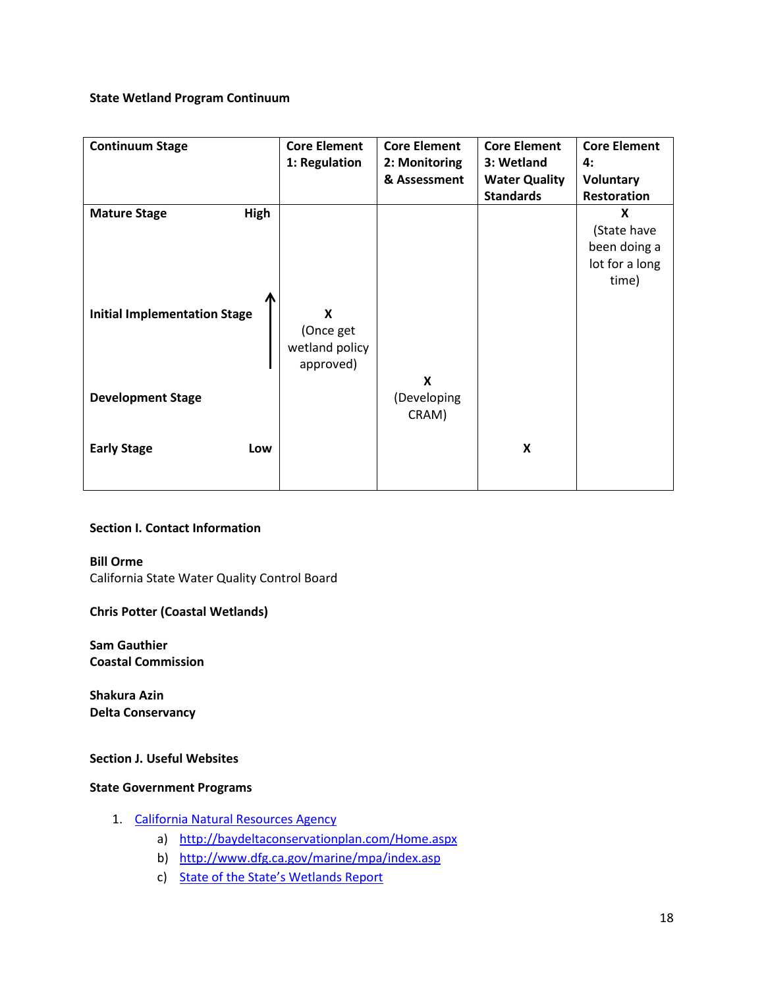# **State Wetland Program Continuum**

| <b>Continuum Stage</b>                                             | <b>Core Element</b><br>1: Regulation          | <b>Core Element</b><br>2: Monitoring<br>& Assessment | <b>Core Element</b><br>3: Wetland<br><b>Water Quality</b><br><b>Standards</b> | <b>Core Element</b><br>4:<br><b>Voluntary</b><br><b>Restoration</b> |
|--------------------------------------------------------------------|-----------------------------------------------|------------------------------------------------------|-------------------------------------------------------------------------------|---------------------------------------------------------------------|
| <b>Mature Stage</b><br>High<br><b>Initial Implementation Stage</b> | X<br>(Once get<br>wetland policy<br>approved) | X                                                    |                                                                               | X<br>(State have<br>been doing a<br>lot for a long<br>time)         |
| <b>Development Stage</b>                                           |                                               | (Developing<br>CRAM)                                 |                                                                               |                                                                     |
| <b>Early Stage</b><br>Low                                          |                                               |                                                      | X                                                                             |                                                                     |

# **Section I. Contact Information**

**Bill Orme** California State Water Quality Control Board

# **Chris Potter (Coastal Wetlands)**

**Sam Gauthier Coastal Commission**

**Shakura Azin Delta Conservancy**

# **Section J. Useful Websites**

# **State Government Programs**

- 1. [California Natural Resources Agency](http://www.ceres.ca.gov/index.html)
	- a) <http://baydeltaconservationplan.com/Home.aspx>
	- b) <http://www.dfg.ca.gov/marine/mpa/index.asp>
	- c) [State of the State's Wetlands Report](http://resources.ca.gov/docs/SOSW_report_with_cover_memo_10182010.pdf)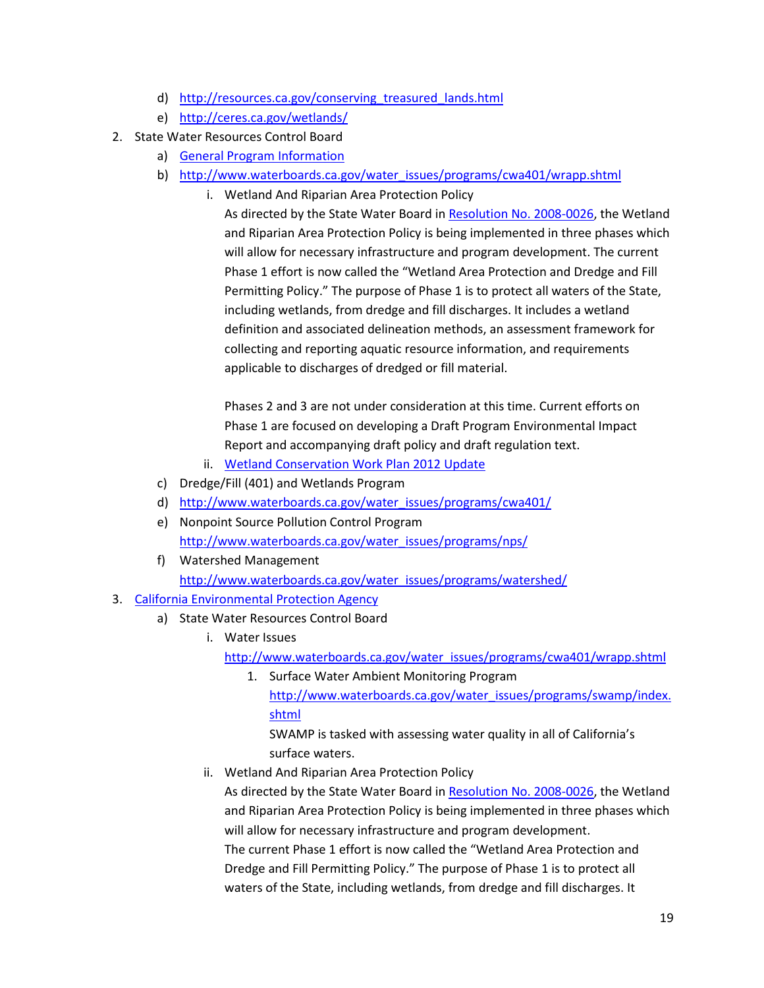- d) [http://resources.ca.gov/conserving\\_treasured\\_lands.html](http://resources.ca.gov/conserving_treasured_lands.html)
- e) <http://ceres.ca.gov/wetlands/>
- 2. State Water Resources Control Board
	- a) [General Program Information](http://www.waterboards.ca.gov/water_issues/programs/swamp/)
	- b) [http://www.waterboards.ca.gov/water\\_issues/programs/cwa401/wrapp.shtml](http://www.waterboards.ca.gov/water_issues/programs/cwa401/wrapp.shtml)
		- i. Wetland And Riparian Area Protection Policy

As directed by the State Water Board i[n Resolution No. 2008-0026,](http://www.waterboards.ca.gov/board_decisions/adopted_orders/resolutions/2008/rs2008_0026.pdf) the Wetland and Riparian Area Protection Policy is being implemented in three phases which will allow for necessary infrastructure and program development. The current Phase 1 effort is now called the "Wetland Area Protection and Dredge and Fill Permitting Policy." The purpose of Phase 1 is to protect all waters of the State, including wetlands, from dredge and fill discharges. It includes a wetland definition and associated delineation methods, an assessment framework for collecting and reporting aquatic resource information, and requirements applicable to discharges of dredged or fill material.

Phases 2 and 3 are not under consideration at this time. Current efforts on Phase 1 are focused on developing a Draft Program Environmental Impact Report and accompanying draft policy and draft regulation text.

- ii. [Wetland Conservation Work Plan 2012 Update](http://www.waterboards.ca.gov/water_issues/programs/cwa401/docs/wrapp/2011wetplanw2012sbupd.pdf)
- c) Dredge/Fill (401) and Wetlands Program
- d) [http://www.waterboards.ca.gov/water\\_issues/programs/cwa401/](http://www.waterboards.ca.gov/water_issues/programs/cwa401/)
- e) Nonpoint Source Pollution Control Program [http://www.waterboards.ca.gov/water\\_issues/programs/nps/](http://www.waterboards.ca.gov/water_issues/programs/nps/)
- f) Watershed Management [http://www.waterboards.ca.gov/water\\_issues/programs/watershed/](http://www.waterboards.ca.gov/water_issues/programs/watershed/)
- 3. [California Environmental Protection Agency](http://www.calepa.ca.gov/)
	- a) State Water Resources Control Board
		- i. Water Issues

[http://www.waterboards.ca.gov/water\\_issues/programs/cwa401/wrapp.shtml](http://www.waterboards.ca.gov/water_issues/programs/cwa401/wrapp.shtml)

1. Surface Water Ambient Monitoring Program [http://www.waterboards.ca.gov/water\\_issues/programs/swamp/index.](http://www.waterboards.ca.gov/water_issues/programs/swamp/index.shtml) [shtml](http://www.waterboards.ca.gov/water_issues/programs/swamp/index.shtml)

SWAMP is tasked with assessing water quality in all of California's surface waters.

ii. Wetland And Riparian Area Protection Policy

As directed by the State Water Board i[n Resolution No. 2008-0026,](http://www.waterboards.ca.gov/board_decisions/adopted_orders/resolutions/2008/rs2008_0026.pdf) the Wetland and Riparian Area Protection Policy is being implemented in three phases which will allow for necessary infrastructure and program development. The current Phase 1 effort is now called the "Wetland Area Protection and Dredge and Fill Permitting Policy." The purpose of Phase 1 is to protect all waters of the State, including wetlands, from dredge and fill discharges. It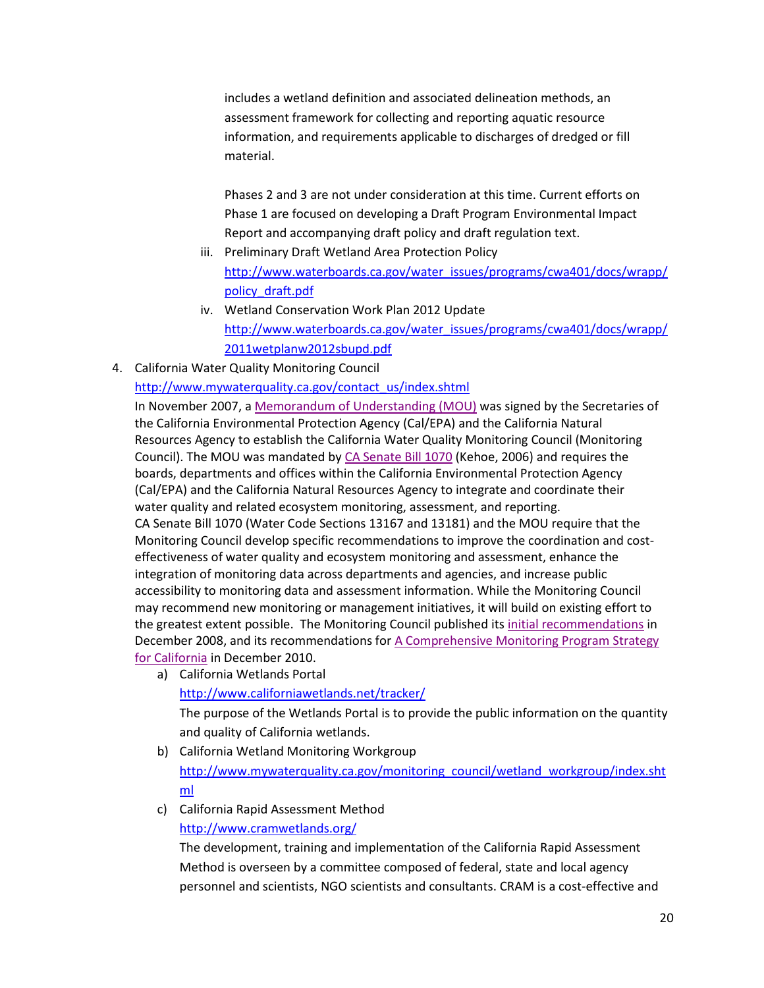includes a wetland definition and associated delineation methods, an assessment framework for collecting and reporting aquatic resource information, and requirements applicable to discharges of dredged or fill material.

Phases 2 and 3 are not under consideration at this time. Current efforts on Phase 1 are focused on developing a Draft Program Environmental Impact Report and accompanying draft policy and draft regulation text.

- iii. Preliminary Draft Wetland Area Protection Policy [http://www.waterboards.ca.gov/water\\_issues/programs/cwa401/docs/wrapp/](http://www.waterboards.ca.gov/water_issues/programs/cwa401/docs/wrapp/policy_draft.pdf) [policy\\_draft.pdf](http://www.waterboards.ca.gov/water_issues/programs/cwa401/docs/wrapp/policy_draft.pdf)
- iv. Wetland Conservation Work Plan 2012 Update [http://www.waterboards.ca.gov/water\\_issues/programs/cwa401/docs/wrapp/](http://www.waterboards.ca.gov/water_issues/programs/cwa401/docs/wrapp/2011wetplanw2012sbupd.pdf) [2011wetplanw2012sbupd.pdf](http://www.waterboards.ca.gov/water_issues/programs/cwa401/docs/wrapp/2011wetplanw2012sbupd.pdf)
- 4. California Water Quality Monitoring Council

[http://www.mywaterquality.ca.gov/contact\\_us/index.shtml](http://www.mywaterquality.ca.gov/contact_us/index.shtml)

In November 2007, a [Memorandum of Understanding \(MOU\)](http://www.mywaterquality.ca.gov/monitoring_council/docs/sb1070mou.pdf) was signed by the Secretaries of the California Environmental Protection Agency (Cal/EPA) and the California Natural Resources Agency to establish the California Water Quality Monitoring Council (Monitoring Council). The MOU was mandated by [CA Senate Bill 1070](http://www.mywaterquality.ca.gov/monitoring_council/docs/sb1070chptrd.pdf) (Kehoe, 2006) and requires the boards, departments and offices within the California Environmental Protection Agency (Cal/EPA) and the California Natural Resources Agency to integrate and coordinate their water quality and related ecosystem monitoring, assessment, and reporting. CA Senate Bill 1070 (Water Code Sections 13167 and 13181) and the MOU require that the Monitoring Council develop specific recommendations to improve the coordination and costeffectiveness of water quality and ecosystem monitoring and assessment, enhance the integration of monitoring data across departments and agencies, and increase public accessibility to monitoring data and assessment information. While the Monitoring Council may recommend new monitoring or management initiatives, it will build on existing effort to the greatest extent possible. The Monitoring Council published its *[initial recommendations](http://www.mywaterquality.ca.gov/monitoring_council/#recommendations2008)* in December 2008, and its recommendations for [A Comprehensive Monitoring Program Strategy](http://www.mywaterquality.ca.gov/monitoring_council/#strategy2010)  for [California](http://www.mywaterquality.ca.gov/monitoring_council/#strategy2010) in December 2010.

a) California Wetlands Portal <http://www.californiawetlands.net/tracker/>

The purpose of the Wetlands Portal is to provide the public information on the quantity and quality of California wetlands.

- b) California Wetland Monitoring Workgroup [http://www.mywaterquality.ca.gov/monitoring\\_council/wetland\\_workgroup/index.sht](http://www.mywaterquality.ca.gov/monitoring_council/wetland_workgroup/index.shtml) [ml](http://www.mywaterquality.ca.gov/monitoring_council/wetland_workgroup/index.shtml)
- c) California Rapid Assessment Method <http://www.cramwetlands.org/>

The development, training and implementation of the California Rapid Assessment Method is overseen by a committee composed of federal, state and local agency personnel and scientists, NGO scientists and consultants. CRAM is a cost-effective and